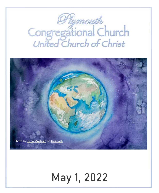# *Plymouth*<br>Congregational Church<br>United Church of Christ



## **May 1, 2022**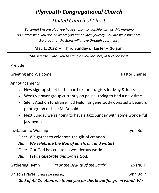### *Plymouth Congregational Church United Church of Christ*

*Welcome! We are glad you have chosen to worship with us this morning. No matter who you are, or where you are on life's journey, you are welcome here! We pray that the Spirit will move through your heart.*

#### **May 1, 2022 • Third Sunday of Easter • 10 a.m.**

*\*An asterisk invites you to stand as you are able, in body or spirit.*

Prelude

Greeting and Welcome **Pastor Charles Pastor Charles** 

Announcements

- New sign-up sheet in the narthex for liturgists for May & June.
- Weekly prayer group currently on pause, trying to find a new time.
- Silent Auction fundraiser: Ed Field has generously donated a beautiful photograph of Lake McDonald.
- Next Sunday we're going to have a Jazz Sunday with some wonderful jazz hymns.

#### Invitation to Worship **Lynn Bolin**

- One: We gather to celebrate the gift of creation!
- *All: We celebrate the God of earth, air, and water!*
- One: Our God has created a wonderous world!
- *All: Let us celebrate and praise God!*

| <b>Gathering Hymn</b> | "For the Beauty of the Earth" | 26 (NCH) |
|-----------------------|-------------------------------|----------|
|                       |                               |          |

Unison Prayer *(please be seated)* Lynn Bolin

*God of All Creation, we thank you for this beautiful green world. We*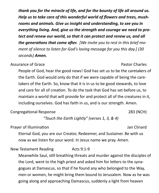*thank you for the miracle of life, and for the bounty of life all around us. Help us to take care of this wonderful world of flowers and trees, mushrooms and animals. Give us insight and understanding, to see you in everything living. And, give us the strength and courage we need to protect and renew our world, so that it can protect and renew us, and all the generations that come after. [We invite you to rest in this brief moment of silence to listen for God's loving message for you this day.] (30 seconds) Amen.* 

Assurance of Grace **Pastor Charles** Pastor Charles

People of God, hear the good news! God has set us to be the caretakers of the Earth. God would only do that if we were capable of being the caretakers of the Earth. So, know that it is in us to be good stewards, to love and care for all of creation. To do the task that God has set before us, to maintain a world that will provide for and protect all of the creatures in it, including ourselves. God has faith in us, and is our strength. Amen.

Congregational Response 283 (NCH)

*"Touch the Earth Lightly" (verses 1, 3, & 4)*

Prayer of Illumination and Table 1 and Table 1 and Jan Clinard

Eternal God, you are our Creator, Redeemer, and Sustainer. Be with us now as we listen for your word. In Jesus name we pray. Amen.

New Testament Reading **Acts** 9:1-9

Meanwhile Saul, still breathing threats and murder against the disciples of the Lord, went to the high priest and asked him for letters to the synagogues at Damascus, so that if he found any who belonged to the Way, men or women, he might bring them bound to Jerusalem. Now as he was going along and approaching Damascus, suddenly a light from heaven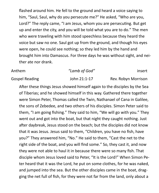flashed around him. He fell to the ground and heard a voice saying to him, "Saul, Saul, why do you persecute me?" He asked, "Who are you, Lord?" The reply came, "I am Jesus, whom you are persecuting. But get up and enter the city, and you will be told what you are to do." The men who were traveling with him stood speechless because they heard the voice but saw no one. Saul got up from the ground, and though his eyes were open, he could see nothing; so they led him by the hand and brought him into Damascus. For three days he was without sight, and neither ate nor drank.

| Anthem                | "Lamb of God" | insert              |
|-----------------------|---------------|---------------------|
| <b>Gospel Reading</b> | John 21:1-17  | Rev. Robyn Morrison |

After these things Jesus showed himself again to the disciples by the Sea of Tiberias; and he showed himself in this way. Gathered there together were Simon Peter, Thomas called the Twin, Nathanael of Cana in Galilee, the sons of Zebedee, and two others of his disciples. Simon Peter said to them, "I am going fishing." They said to him, "We will go with you." They went out and got into the boat, but that night they caught nothing. Just after daybreak, Jesus stood on the beach; but the disciples did not know that it was Jesus. Jesus said to them, "Children, you have no fish, have you?" They answered him, "No." He said to them, "Cast the net to the right side of the boat, and you will find some." So, they cast it, and now they were not able to haul it in because there were so many fish. That disciple whom Jesus loved said to Peter, "It is the Lord!" When Simon Peter heard that it was the Lord, he put on some clothes, for he was naked, and jumped into the sea. But the other disciples came in the boat, dragging the net full of fish, for they were not far from the land, only about a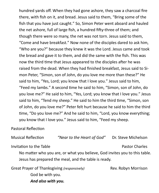hundred yards off. When they had gone ashore, they saw a charcoal fire there, with fish on it, and bread. Jesus said to them, "Bring some of the fish that you have just caught." So, Simon Peter went aboard and hauled the net ashore, full of large fish, a hundred fifty-three of them; and though there were so many, the net was not torn. Jesus said to them, "Come and have breakfast." Now none of the disciples dared to ask him, "Who are you?" because they knew it was the Lord. Jesus came and took the bread and gave it to them, and did the same with the fish. This was now the third time that Jesus appeared to the disciples after he was raised from the dead. When they had finished breakfast, Jesus said to Simon Peter, "Simon, son of John, do you love me more than these?" He said to him, "Yes, Lord; you know that I love you." Jesus said to him, "Feed my lambs." A second time he said to him, "Simon, son of John, do you love me?" He said to him, "Yes, Lord; you know that I love you." Jesus said to him, "Tend my sheep." He said to him the third time, "Simon, son of John, do you love me?" Peter felt hurt because he said to him the third time, "Do you love me?" And he said to him, "Lord, you know everything; you know that I love you." Jesus said to him, "Feed my sheep.

#### Pastoral Reflection

Musical Reflection *"Near to the Heart of God"* Dr. Steve Michelson Invitation to the Table **Pastor Charles Pastor Charles** No matter who you are, or what you believe, God invites you to this table. Jesus has prepared the meal, and the table is ready. Great Prayer of Thanksgiving *(responsively)* Rev. Robyn Morrison

God be with you.

*And also with you.*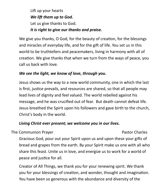Lift up your hearts *We lift them up to God.* Let us give thanks to God. *It is right to give our thanks and praise.*

We give you thanks, O God, for the beauty of creation, for the blessings and miracles of everyday life, and for the gift of life. You set us in this world to be truthtellers and peacemakers, living in harmony with all of creation. We give thanks that when we turn from the ways of peace, you call us back with love.

#### *We see the light, we know of love, through you.*

Jesus shows us the way to a new world community, one in which the last is first, justice prevails, and resources are shared, so that all people may lead lives of dignity and feel valued. The world rebelled against his message, and he was crucified out of fear. But death cannot defeat life. Jesus breathed the Spirit upon his followers and gave birth to the church, Christ's body in the world.

#### *Living Christ ever present; we welcome you in our lives.*

The Communion Prayer **Pastor Charles** Pastor Charles

Gracious God, pour out your Spirit upon us and upon these your gifts of bread and grapes from the earth. By your Spirit make us one with all who share this feast. Unite us in love, and energize us to work for a world of peace and justice for all.

Creator of All Things, we thank you for your renewing spirit. We thank you for your blessings of creation, and wonder, thought and imagination. You have been so generous with the abundance and diversity of the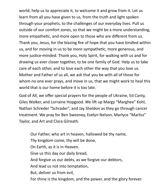world; help us to appreciate it, to welcome it and grow from it. Let us learn from all you have given to us, from the truth and light spoken through your prophets, to the challenges of our everyday lives. Pull us outside of our comfort zones, so that we might be a more understanding, more empathetic, and more open to those who are different from us. Thank you, Jesus, for the blazing fire of hope that you have kindled within us, and for moving in us to be more sympathetic, more generous, and more justice-minded. Thank you, Holy Spirit, for walking with us and for drawing us ever closer together, to be one family of God. Help us to take care of each other, and to love each other the way that you love us. Mother and Father of us all, we ask that you be with all of those for whom no one ever prays, and move in us, that we might work to heal this world that is our home before it is too late.

God of All, we offer special prayers for the people of Ukraine, Ed Canty, Giles Walker, and Lorraine Hopgood. We lift up Margy "Marghee" Kohl, Nathan Schreder "Schrader", and Jay Sheldon as they go through cancer treatment. We pray for Ben Sweeney, Evelyn Nelson, Marlyce "Marliss" Taylor, and Art and Clara Gilreath.

Our Father, who art in heaven, hallowed be thy name, Thy kingdom come, thy will be done, On Earth, as it is in Heaven. Give us this day our daily bread, And forgive us our debts, as we forgive our debtors, And lead us not into temptation, But, deliver us from evil, For thine is the kingdom, and the power, and the glory forever.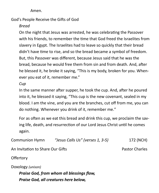Amen.

God's People Receive the Gifts of God

*Bread*

On the night that Jesus was arrested, he was celebrating the Passover with his friends, to remember the time that God freed the Israelites from slavery in Egypt. The Israelites had to leave so quickly that their bread didn't have time to rise, and so the bread became a symbol of freedom. But, this Passover was different, because Jesus said that he was the bread, because he would free them from sin and from death. And, after he blessed it, he broke it saying, "This is my body, broken for you. Whenever you eat of it, remember me."

*Cup*

In the same manner after supper, he took the cup. And, after he poured into it, he blessed it saying, "This cup is the new covenant, sealed in my blood. I am the vine, and you are the branches, cut off from me, you can do nothing. Whenever you drink of it, remember me."

For as often as we eat this bread and drink this cup, we proclaim the saving life, death, and resurrection of our Lord Jesus Christ until he comes again.

Communion Hymn *"Jesus Calls Us" (verses 1, 3-5)* 172 (NCH)

An Invitation to Share Our Gifts **Pastor Charles** Pastor Charles

**Offertory** 

Doxology *(unison)*

*Praise God, from whom all blessings flow, Praise God, all creatures here below,*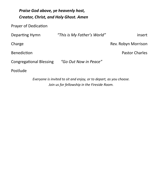| Praise God above, ye heavenly host,<br><b>Creator, Christ, and Holy Ghost. Amen</b> |                             |                       |  |
|-------------------------------------------------------------------------------------|-----------------------------|-----------------------|--|
| <b>Prayer of Dedication</b>                                                         |                             |                       |  |
| Departing Hymn                                                                      | "This is My Father's World" | insert                |  |
| Charge                                                                              |                             | Rev. Robyn Morrison   |  |
| <b>Benediction</b>                                                                  |                             | <b>Pastor Charles</b> |  |
| <b>Congregational Blessing</b>                                                      | "Go Out Now in Peace"       |                       |  |
| Postlude                                                                            |                             |                       |  |
|                                                                                     |                             |                       |  |

*Everyone is invited to sit and enjoy, or to depart, as you choose. Join us for fellowship in the Fireside Room.*